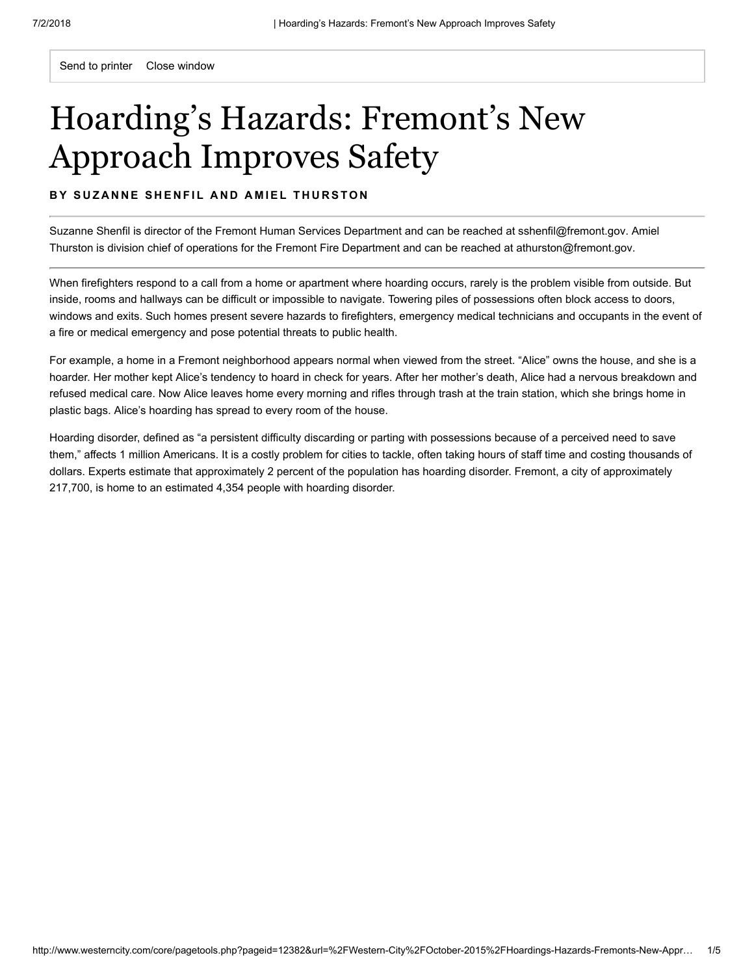Send to printer Close window

# Hoarding's Hazards: Fremont's New Approach Improves Safety

#### BY SUZANNE SHENFIL AND AMIEL THURSTON

Suzanne Shenfil is director of the Fremont Human Services Department and can be reached at [sshenfil@fremont.gov](mailto:sshenfil@fremont.gov). Amiel Thurston is division chief of operations for the Fremont Fire Department and can be reached at [athurston@fremont.gov.](mailto:athurston@fremont.gov)

When firefighters respond to a call from a home or apartment where hoarding occurs, rarely is the problem visible from outside. But inside, rooms and hallways can be difficult or impossible to navigate. Towering piles of possessions often block access to doors, windows and exits. Such homes present severe hazards to firefighters, emergency medical technicians and occupants in the event of a fire or medical emergency and pose potential threats to public health.

For example, a home in a Fremont neighborhood appears normal when viewed from the street. "Alice" owns the house, and she is a hoarder. Her mother kept Alice's tendency to hoard in check for years. After her mother's death, Alice had a nervous breakdown and refused medical care. Now Alice leaves home every morning and rifles through trash at the train station, which she brings home in plastic bags. Alice's hoarding has spread to every room of the house.

Hoarding disorder, defined as "a persistent difficulty discarding or parting with possessions because of a perceived need to save them," affects 1 million Americans. It is a costly problem for cities to tackle, often taking hours of staff time and costing thousands of dollars. Experts estimate that approximately 2 percent of the population has hoarding disorder. Fremont, a city of approximately 217,700, is home to an estimated 4,354 people with hoarding disorder.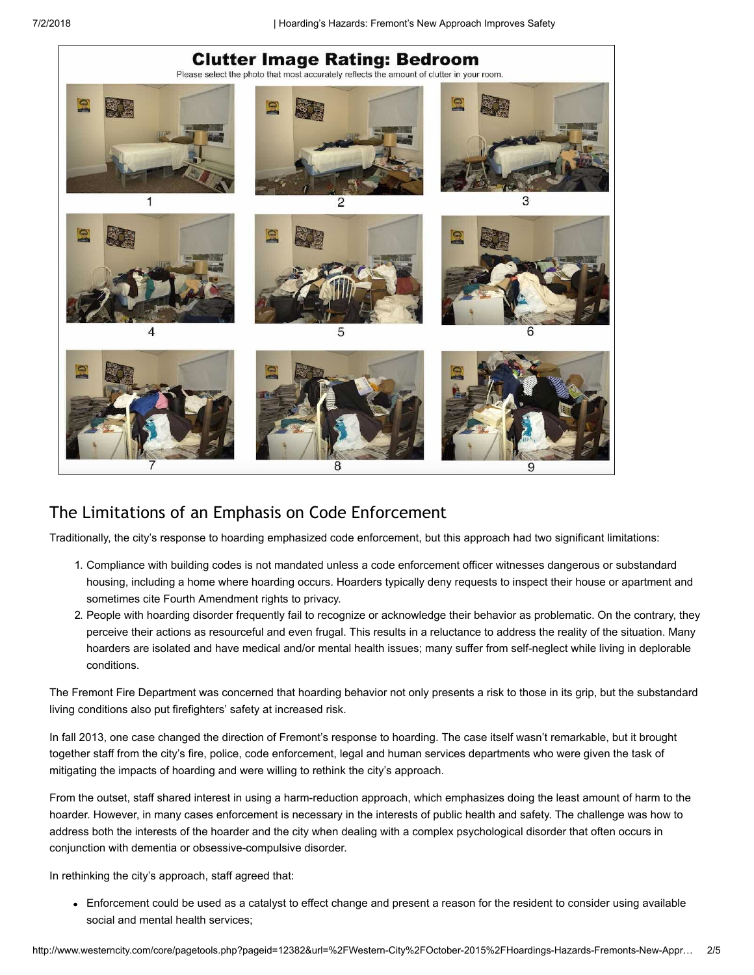

# The Limitations of an Emphasis on Code Enforcement

Traditionally, the city's response to hoarding emphasized code enforcement, but this approach had two significant limitations:

- 1. Compliance with building codes is not mandated unless a code enforcement officer witnesses dangerous or substandard housing, including a home where hoarding occurs. Hoarders typically deny requests to inspect their house or apartment and sometimes cite Fourth Amendment rights to privacy.
- 2. People with hoarding disorder frequently fail to recognize or acknowledge their behavior as problematic. On the contrary, they perceive their actions as resourceful and even frugal. This results in a reluctance to address the reality of the situation. Many hoarders are isolated and have medical and/or mental health issues; many suffer from self-neglect while living in deplorable conditions.

The Fremont Fire Department was concerned that hoarding behavior not only presents a risk to those in its grip, but the substandard living conditions also put firefighters' safety at increased risk.

In fall 2013, one case changed the direction of Fremont's response to hoarding. The case itself wasn't remarkable, but it brought together staff from the city's fire, police, code enforcement, legal and human services departments who were given the task of mitigating the impacts of hoarding and were willing to rethink the city's approach.

From the outset, staff shared interest in using a harm-reduction approach, which emphasizes doing the least amount of harm to the hoarder. However, in many cases enforcement is necessary in the interests of public health and safety. The challenge was how to address both the interests of the hoarder and the city when dealing with a complex psychological disorder that often occurs in conjunction with dementia or obsessive-compulsive disorder.

In rethinking the city's approach, staff agreed that:

Enforcement could be used as a catalyst to effect change and present a reason for the resident to consider using available social and mental health services;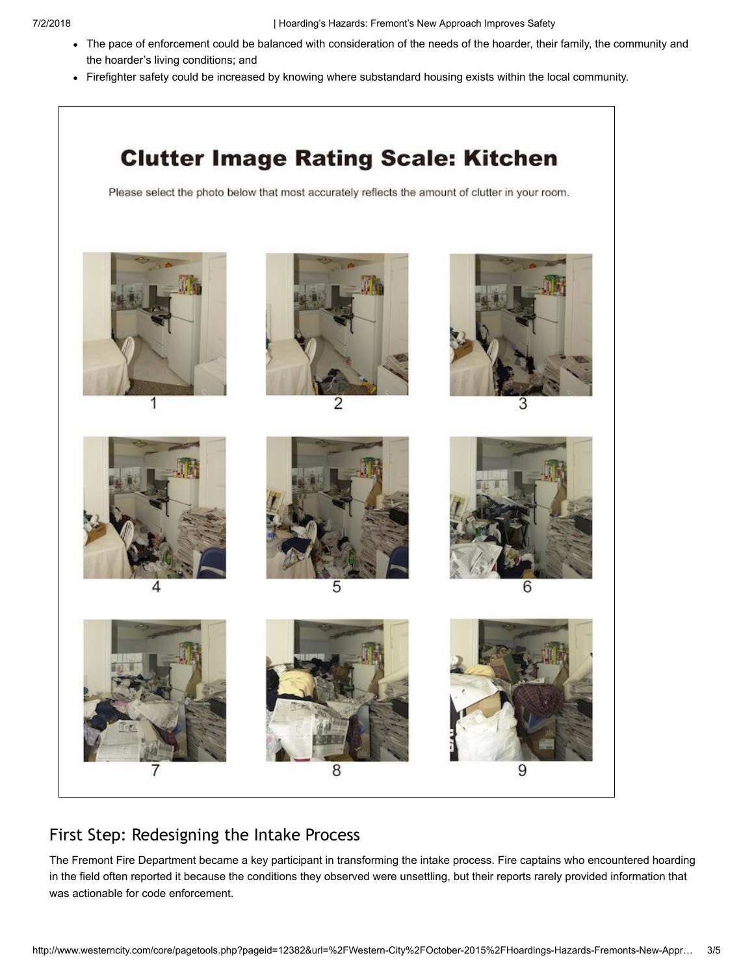7/2/2018 | Hoarding's Hazards: Fremont's New Approach Improves Safety

- The pace of enforcement could be balanced with consideration of the needs of the hoarder, their family, the community and the hoarder's living conditions; and
- Firefighter safety could be increased by knowing where substandard housing exists within the local community.



# First Step: Redesigning the Intake Process

The Fremont Fire Department became a key participant in transforming the intake process. Fire captains who encountered hoarding in the field often reported it because the conditions they observed were unsettling, but their reports rarely provided information that was actionable for code enforcement.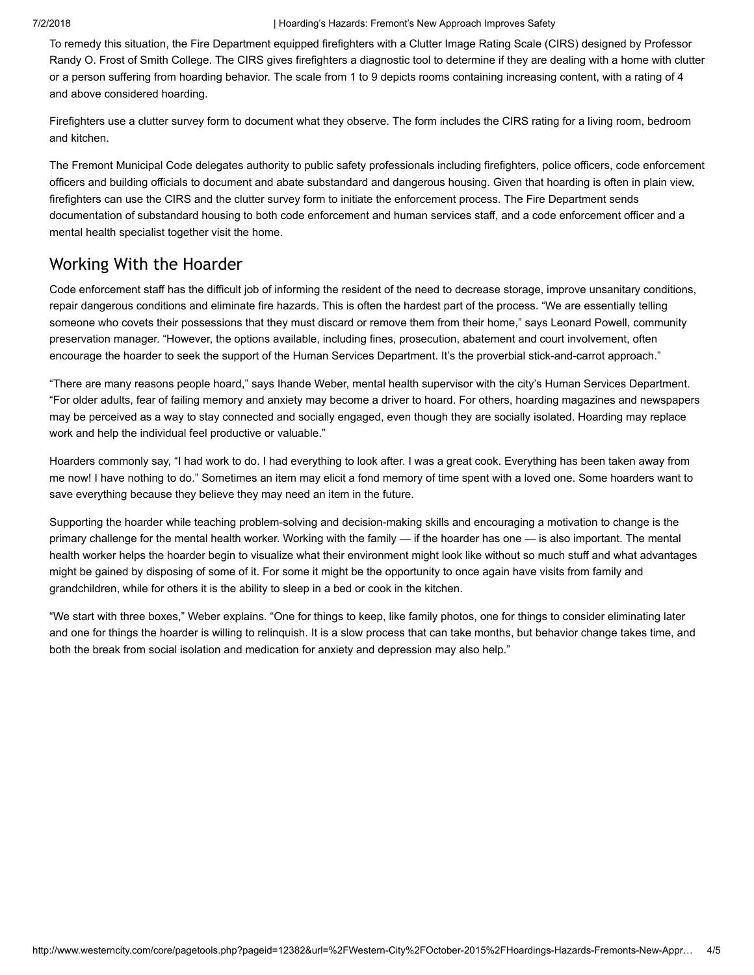To remedy this situation, the Fire Department equipped firefighters with a Clutter Image Rating Scale (CIRS) designed by Professor Randy O. Frost of Smith College. The CIRS gives firefighters a diagnostic tool to determine if they are dealing with a home with clutter or a person suffering from hoarding behavior. The scale from 1 to 9 depicts rooms containing increasing content, with a rating of 4 and above considered hoarding.

Firefighters use a clutter survey form to document what they observe. The form includes the CIRS rating for a living room, bedroom and kitchen.

The Fremont Municipal Code delegates authority to public safety professionals including firefighters, police officers, code enforcement officers and building officials to document and abate substandard and dangerous housing. Given that hoarding is often in plain view, firefighters can use the CIRS and the clutter survey form to initiate the enforcement process. The Fire Department sends documentation of substandard housing to both code enforcement and human services staff, and a code enforcement officer and a mental health specialist together visit the home.

### Working With the Hoarder

Code enforcement staff has the difficult job of informing the resident of the need to decrease storage, improve unsanitary conditions, repair dangerous conditions and eliminate fire hazards. This is often the hardest part of the process. "We are essentially telling someone who covets their possessions that they must discard or remove them from their home," says Leonard Powell, community preservation manager. "However, the options available, including fines, prosecution, abatement and court involvement, often encourage the hoarder to seek the support of the Human Services Department. It's the proverbial stick-and-carrot approach."

"There are many reasons people hoard," says Ihande Weber, mental health supervisor with the city's Human Services Department. "For older adults, fear of failing memory and anxiety may become a driver to hoard. For others, hoarding magazines and newspapers may be perceived as a way to stay connected and socially engaged, even though they are socially isolated. Hoarding may replace work and help the individual feel productive or valuable."

Hoarders commonly say, "I had work to do. I had everything to look after. I was a great cook. Everything has been taken away from me now! I have nothing to do." Sometimes an item may elicit a fond memory of time spent with a loved one. Some hoarders want to save everything because they believe they may need an item in the future.

Supporting the hoarder while teaching problem-solving and decision-making skills and encouraging a motivation to change is the primary challenge for the mental health worker. Working with the family — if the hoarder has one — is also important. The mental health worker helps the hoarder begin to visualize what their environment might look like without so much stuff and what advantages might be gained by disposing of some of it. For some it might be the opportunity to once again have visits from family and grandchildren, while for others it is the ability to sleep in a bed or cook in the kitchen.

"We start with three boxes," Weber explains. "One for things to keep, like family photos, one for things to consider eliminating later and one for things the hoarder is willing to relinquish. It is a slow process that can take months, but behavior change takes time, and both the break from social isolation and medication for anxiety and depression may also help."